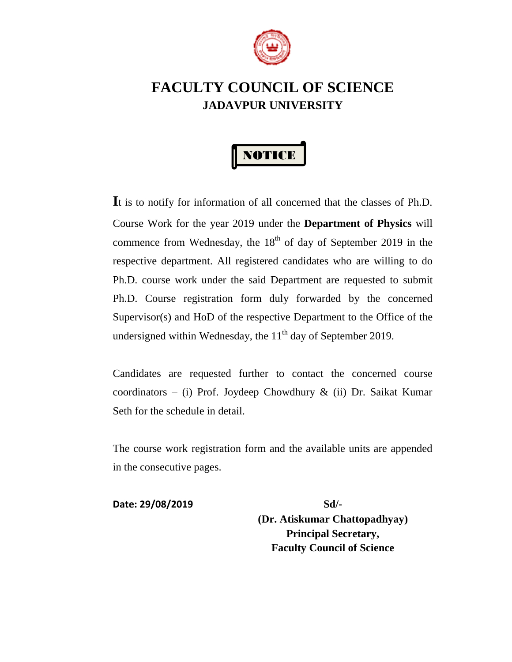

# **FACULTY COUNCIL OF SCIENCE JADAVPUR UNIVERSITY**



**I**t is to notify for information of all concerned that the classes of Ph.D. Course Work for the year 2019 under the **Department of Physics** will commence from Wednesday, the  $18<sup>th</sup>$  of day of September 2019 in the respective department. All registered candidates who are willing to do Ph.D. course work under the said Department are requested to submit Ph.D. Course registration form duly forwarded by the concerned Supervisor(s) and HoD of the respective Department to the Office of the undersigned within Wednesday, the  $11<sup>th</sup>$  day of September 2019.

Candidates are requested further to contact the concerned course coordinators – (i) Prof. Joydeep Chowdhury  $\&$  (ii) Dr. Saikat Kumar Seth for the schedule in detail.

The course work registration form and the available units are appended in the consecutive pages.

**Date: 29/08/2019 Sd/-**

**(Dr. Atiskumar Chattopadhyay) Principal Secretary, Faculty Council of Science**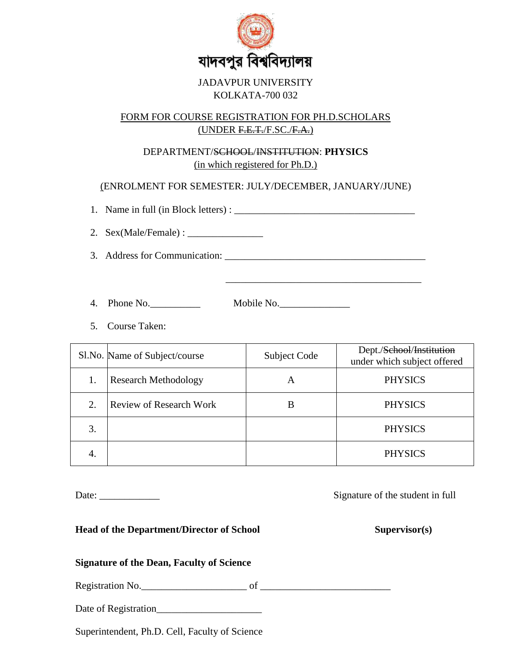

### JADAVPUR UNIVERSITY KOLKATA-700 032

### FORM FOR COURSE REGISTRATION FOR PH.D.SCHOLARS (UNDER F.E.T./F.SC./F.A.)

### DEPARTMENT/SCHOOL/INSTITUTION: **PHYSICS** (in which registered for Ph.D.)

(ENROLMENT FOR SEMESTER: JULY/DECEMBER, JANUARY/JUNE)

1. Name in full (in Block letters) : \_\_\_\_\_\_\_\_\_\_\_\_\_\_\_\_\_\_\_\_\_\_\_\_\_\_\_\_\_\_\_\_\_\_\_\_

2. Sex(Male/Female) : \_\_\_\_\_\_\_\_\_\_\_\_\_\_\_

3. Address for Communication: \_\_\_\_\_\_\_\_\_\_\_\_\_\_\_\_\_\_\_\_\_\_\_\_\_\_\_\_\_\_\_\_\_\_\_\_\_\_\_\_

\_\_\_\_\_\_\_\_\_\_\_\_\_\_\_\_\_\_\_\_\_\_\_\_\_\_\_\_\_\_\_\_\_\_\_\_\_\_\_

4. Phone No.\_\_\_\_\_\_\_\_\_\_ Mobile No.\_\_\_\_\_\_\_\_\_\_\_\_\_\_

5. Course Taken:

|    | Sl.No. Name of Subject/course  | Subject Code | Dept./ <del>School</del> /Institution<br>under which subject offered |
|----|--------------------------------|--------------|----------------------------------------------------------------------|
| 1. | <b>Research Methodology</b>    | A            | <b>PHYSICS</b>                                                       |
| 2. | <b>Review of Research Work</b> | В            | <b>PHYSICS</b>                                                       |
| 3. |                                |              | <b>PHYSICS</b>                                                       |
|    |                                |              | <b>PHYSICS</b>                                                       |

Date: \_\_\_\_\_\_\_\_\_\_\_\_ Signature of the student in full

**Head of the Department/Director of School Supervisor(s)**

### **Signature of the Dean, Faculty of Science**

Registration No.\_\_\_\_\_\_\_\_\_\_\_\_\_\_\_\_\_\_\_\_\_ of \_\_\_\_\_\_\_\_\_\_\_\_\_\_\_\_\_\_\_\_\_\_\_\_\_\_

Date of Registration\_\_\_\_\_\_\_\_\_\_\_\_\_\_\_\_\_\_\_\_\_

Superintendent, Ph.D. Cell, Faculty of Science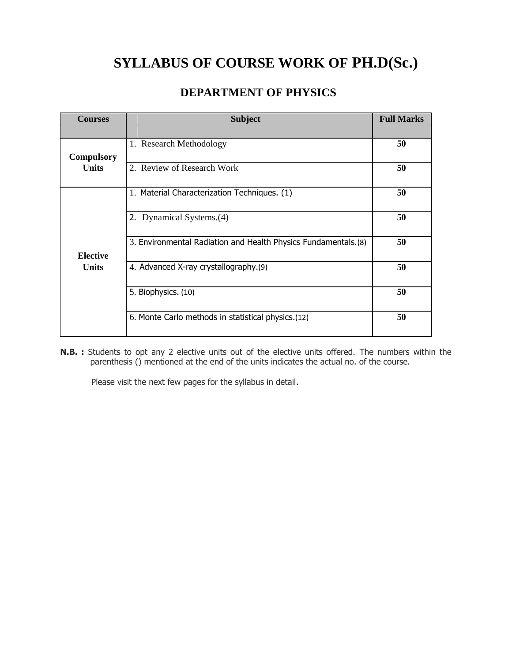# **SYLLABUS OF COURSE WORK OF PH.D(Sc.)**

# **DEPARTMENT OF PHYSICS**

| <b>Courses</b>    | <b>Subject</b>                                                  | <b>Full Marks</b> |
|-------------------|-----------------------------------------------------------------|-------------------|
|                   |                                                                 |                   |
| <b>Compulsory</b> | 1. Research Methodology                                         | 50                |
| <b>Units</b>      | 2. Review of Research Work                                      | 50                |
|                   | 1. Material Characterization Techniques. (1)                    | 50                |
|                   | 2. Dynamical Systems.(4)                                        | 50                |
| <b>Elective</b>   | 3. Environmental Radiation and Health Physics Fundamentals. (8) | 50                |
| <b>Units</b>      | 4. Advanced X-ray crystallography.(9)                           | 50                |
|                   | 5. Biophysics. (10)                                             | 50                |
|                   | 6. Monte Carlo methods in statistical physics.(12)              | 50                |

**N.B. :** Students to opt any 2 elective units out of the elective units offered. The numbers within the parenthesis () mentioned at the end of the units indicates the actual no. of the course.

Please visit the next few pages for the syllabus in detail.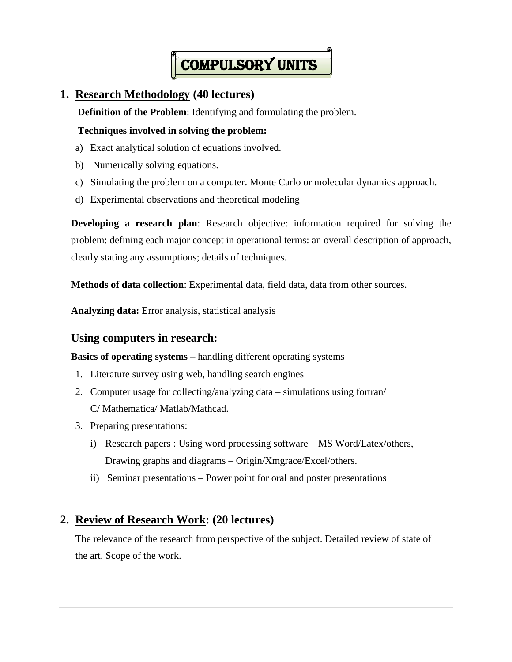

# **1. Research Methodology (40 lectures)**

**Definition of the Problem**: Identifying and formulating the problem.

### **Techniques involved in solving the problem:**

- a) Exact analytical solution of equations involved.
- b) Numerically solving equations.
- c) Simulating the problem on a computer. Monte Carlo or molecular dynamics approach.
- d) Experimental observations and theoretical modeling

<span id="page-3-0"></span>**Developing a research plan**: Research objective: information required for solving the problem: defining each major concept in operational terms: an overall description of approach, clearly stating any assumptions; details of techniques.

**Methods of data collection**: Experimental data, field data, data from other sources.

**Analyzing data:** Error analysis, statistical analysis

### **Using computers in research:**

**Basics of operating systems –** handling different operating systems

- 1. Literature survey using web, handling search engines
- 2. Computer usage for collecting/analyzing data simulations using fortran/ C/ Mathematica/ Matlab/Mathcad.
- 3. Preparing presentations:
	- i) Research papers : Using word processing software MS Word/Latex/others, Drawing graphs and diagrams – Origin/Xmgrace/Excel/others.
	- ii) Seminar presentations Power point for oral and poster presentations

# **2. Review of Research Work: (20 lectures)**

The relevance of the research from perspective of the subject. Detailed review of state of the art. Scope of the work.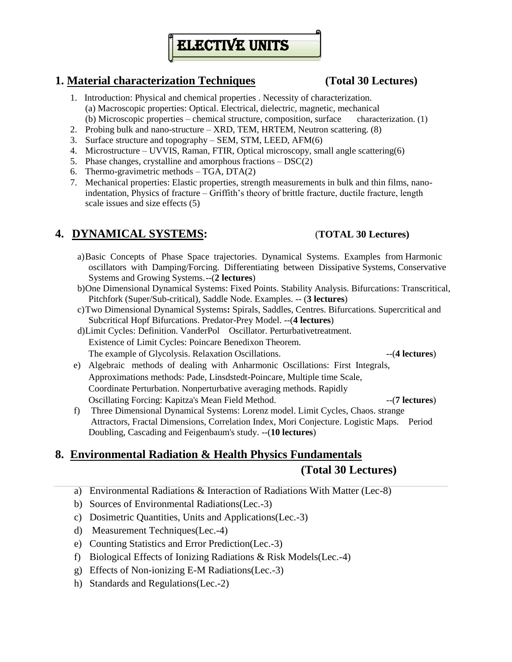# **ELECTIVE UNITS**

# **1. Material characterization Techniques (Total 30 Lectures)**

- 1. Introduction: Physical and chemical properties . Necessity of characterization. (a) Macroscopic properties: Optical. Electrical, dielectric, magnetic, mechanical (b) Microscopic properties – chemical structure, composition, surface characterization. (1)
- 2. Probing bulk and nano-structure XRD, TEM, HRTEM, Neutron scattering. (8)
- 3. Surface structure and topography SEM, STM, LEED, AFM(6)
- 4. Microstructure UVVIS, Raman, FTIR, Optical microscopy, small angle scattering(6)
- 5. Phase changes, crystalline and amorphous fractions DSC(2)
- 6. Thermo-gravimetric methods TGA, DTA(2)
- 7. Mechanical properties: Elastic properties, strength measurements in bulk and thin films, nanoindentation, Physics of fracture – Griffith's theory of brittle fracture, ductile fracture, length scale issues and size effects (5)

# **4. DYNAMICAL SYSTEMS:** (**TOTAL 30 Lectures)**

- a)Basic Concepts of Phase Space trajectories. Dynamical Systems. Examples from Harmonic oscillators with Damping/Forcing. Differentiating between Dissipative Systems, Conservative Systems and Growing Systems.--(**2 lectures**)
- b)One Dimensional Dynamical Systems: Fixed Points. Stability Analysis. Bifurcations: Transcritical, Pitchfork (Super/Sub-critical), Saddle Node. Examples. -- (**3 lectures**)
- c)Two Dimensional Dynamical Systems**:** Spirals, Saddles, Centres. Bifurcations. Supercritical and Subcritical Hopf Bifurcations. Predator-Prey Model. --(**4 lectures**)
- d)Limit Cycles: Definition. VanderPol Oscillator. Perturbativetreatment. Existence of Limit Cycles: Poincare Benedixon Theorem. The example of Glycolysis. Relaxation Oscillations.  $-$  (4 lectures)
- e) Algebraic methods of dealing with Anharmonic Oscillations: First Integrals, Approximations methods: Pade, Linsdstedt-Poincare, Multiple time Scale, Coordinate Perturbation. Nonperturbative averaging methods. Rapidly Oscillating Forcing: Kapitza's Mean Field Method. --(**7 lectures**)
- f) Three Dimensional Dynamical Systems: Lorenz model. Limit Cycles, Chaos. strange Attractors, Fractal Dimensions, Correlation Index, Mori Conjecture. Logistic Maps. Period Doubling, Cascading and Feigenbaum's study. --(**10 lectures**)

# **8. Environmental Radiation & Health Physics Fundamentals (Total 30 Lectures)**

- a) Environmental Radiations & Interaction of Radiations With Matter (Lec-8)
- b) Sources of Environmental Radiations(Lec.-3)
- c) Dosimetric Quantities, Units and Applications(Lec.-3)
- d) Measurement Techniques(Lec.-4)
- e) Counting Statistics and Error Prediction(Lec.-3)
- f) Biological Effects of Ionizing Radiations & Risk Models(Lec.-4)
- g) Effects of Non-ionizing E-M Radiations(Lec.-3)
- h) Standards and Regulations(Lec.-2)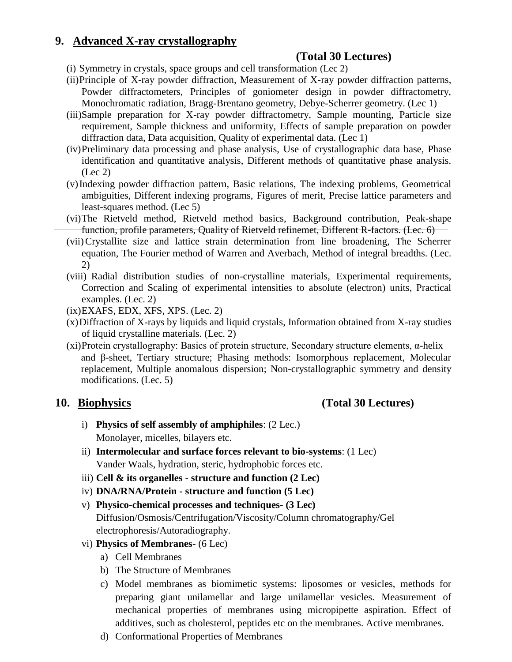# **9. Advanced X-ray crystallography**

# **(Total 30 Lectures)**

- (i) Symmetry in crystals, space groups and cell transformation (Lec 2)
- (ii)Principle of X-ray powder diffraction, Measurement of X-ray powder diffraction patterns, Powder diffractometers, Principles of goniometer design in powder diffractometry, Monochromatic radiation, Bragg-Brentano geometry, Debye-Scherrer geometry. (Lec 1)
- (iii)Sample preparation for X-ray powder diffractometry, Sample mounting, Particle size requirement, Sample thickness and uniformity, Effects of sample preparation on powder diffraction data, Data acquisition, Quality of experimental data. (Lec 1)
- (iv)Preliminary data processing and phase analysis, Use of crystallographic data base, Phase identification and quantitative analysis, Different methods of quantitative phase analysis. (Lec 2)
- (v)Indexing powder diffraction pattern, Basic relations, The indexing problems, Geometrical ambiguities, Different indexing programs, Figures of merit, Precise lattice parameters and least-squares method. (Lec 5)
- (vi)The Rietveld method, Rietveld method basics, Background contribution, Peak-shape function, profile parameters, Quality of Rietveld refinemet, Different R-factors. (Lec. 6)
- (vii)Crystallite size and lattice strain determination from line broadening, The Scherrer equation, The Fourier method of Warren and Averbach, Method of integral breadths. (Lec. 2)
- (viii) Radial distribution studies of non-crystalline materials, Experimental requirements, Correction and Scaling of experimental intensities to absolute (electron) units, Practical examples. (Lec. 2)
- (ix)EXAFS, EDX, XFS, XPS. (Lec. 2)
- (x)Diffraction of X-rays by liquids and liquid crystals, Information obtained from X-ray studies of liquid crystalline materials. (Lec. 2)
- (xi)Protein crystallography: Basics of protein structure, Secondary structure elements, α-helix and β-sheet, Tertiary structure; Phasing methods: Isomorphous replacement, Molecular replacement, Multiple anomalous dispersion; Non-crystallographic symmetry and density modifications. (Lec. 5)

# **10. Biophysics (Total 30 Lectures)**

- i) **Physics of self assembly of amphiphiles**: (2 Lec.) Monolayer, micelles, bilayers etc.
- ii) **Intermolecular and surface forces relevant to bio-systems**: (1 Lec) Vander Waals, hydration, steric, hydrophobic forces etc.
- iii) **Cell & its organelles - structure and function (2 Lec)**
- iv) **DNA/RNA/Protein - structure and function (5 Lec)**
- v) **Physico-chemical processes and techniques- (3 Lec)**  Diffusion/Osmosis/Centrifugation/Viscosity/Column chromatography/Gel electrophoresis/Autoradiography.
- vi) **Physics of Membranes** (6 Lec)
	- a) Cell Membranes
	- b) The Structure of Membranes
	- c) Model membranes as biomimetic systems: liposomes or vesicles, methods for preparing giant unilamellar and large unilamellar vesicles. Measurement of mechanical properties of membranes using micropipette aspiration. Effect of additives, such as cholesterol, peptides etc on the membranes. Active membranes.
	- d) Conformational Properties of Membranes